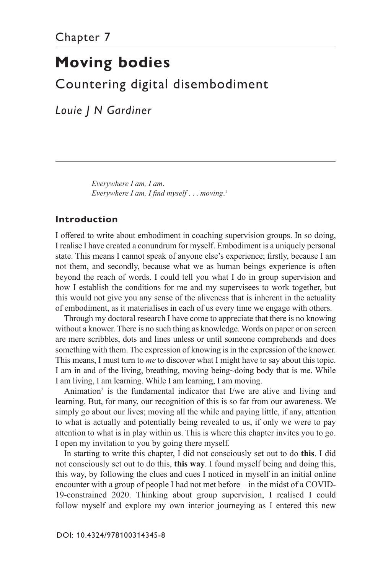# **Moving bodies**

Countering digital disembodiment

*Louie J N Gardiner*

*Everywhere I am, I am*. *Everywhere I am, I find myself* . . . *moving*. 1

## **Introduction**

I offered to write about embodiment in coaching supervision groups. In so doing, I realise I have created a conundrum for myself. Embodiment is a uniquely personal state. This means I cannot speak of anyone else's experience; firstly, because I am not them, and secondly, because what we as human beings experience is often beyond the reach of words. I could tell you what I do in group supervision and how I establish the conditions for me and my supervisees to work together, but this would not give you any sense of the aliveness that is inherent in the actuality of embodiment, as it materialises in each of us every time we engage with others.

Through my doctoral research I have come to appreciate that there is no knowing without a knower. There is no such thing as knowledge. Words on paper or on screen are mere scribbles, dots and lines unless or until someone comprehends and does something with them. The expression of knowing is in the expression of the knower. This means, I must turn to *me* to discover what I might have to say about this topic. I am in and of the living, breathing, moving being~doing body that is me. While I am living, I am learning. While I am learning, I am moving.

Animation<sup>2</sup> is the fundamental indicator that I/we are alive and living and learning. But, for many, our recognition of this is so far from our awareness. We simply go about our lives; moving all the while and paying little, if any, attention to what is actually and potentially being revealed to us, if only we were to pay attention to what is in play within us. This is where this chapter invites you to go. I open my invitation to you by going there myself.

In starting to write this chapter, I did not consciously set out to do **this**. I did not consciously set out to do this, **this way**. I found myself being and doing this, this way, by following the clues and cues I noticed in myself in an initial online encounter with a group of people I had not met before – in the midst of a COVID-19-constrained 2020. Thinking about group supervision, I realised I could follow myself and explore my own interior journeying as I entered this new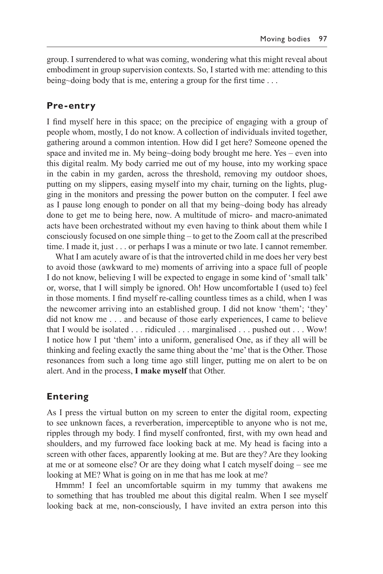group. I surrendered to what was coming, wondering what this might reveal about embodiment in group supervision contexts. So, I started with me: attending to this being~doing body that is me, entering a group for the first time . . .

## **Pre-entry**

I find myself here in this space; on the precipice of engaging with a group of people whom, mostly, I do not know. A collection of individuals invited together, gathering around a common intention. How did I get here? Someone opened the space and invited me in. My being~doing body brought me here. Yes – even into this digital realm. My body carried me out of my house, into my working space in the cabin in my garden, across the threshold, removing my outdoor shoes, putting on my slippers, easing myself into my chair, turning on the lights, plugging in the monitors and pressing the power button on the computer. I feel awe as I pause long enough to ponder on all that my being~doing body has already done to get me to being here, now. A multitude of micro- and macro-animated acts have been orchestrated without my even having to think about them while I consciously focused on one simple thing – to get to the Zoom call at the prescribed time. I made it, just . . . or perhaps I was a minute or two late. I cannot remember.

What I am acutely aware of is that the introverted child in me does her very best to avoid those (awkward to me) moments of arriving into a space full of people I do not know, believing I will be expected to engage in some kind of 'small talk' or, worse, that I will simply be ignored. Oh! How uncomfortable I (used to) feel in those moments. I find myself re-calling countless times as a child, when I was the newcomer arriving into an established group. I did not know 'them'; 'they' did not know me . . . and because of those early experiences, I came to believe that I would be isolated . . . ridiculed . . . marginalised . . . pushed out . . . Wow! I notice how I put 'them' into a uniform, generalised One, as if they all will be thinking and feeling exactly the same thing about the 'me' that is the Other. Those resonances from such a long time ago still linger, putting me on alert to be on alert. And in the process, **I make myself** that Other.

## **Entering**

As I press the virtual button on my screen to enter the digital room, expecting to see unknown faces, a reverberation, imperceptible to anyone who is not me, ripples through my body. I find myself confronted, first, with my own head and shoulders, and my furrowed face looking back at me. My head is facing into a screen with other faces, apparently looking at me. But are they? Are they looking at me or at someone else? Or are they doing what I catch myself doing – see me looking at ME? What is going on in me that has me look at me?

Hmmm! I feel an uncomfortable squirm in my tummy that awakens me to something that has troubled me about this digital realm. When I see myself looking back at me, non-consciously, I have invited an extra person into this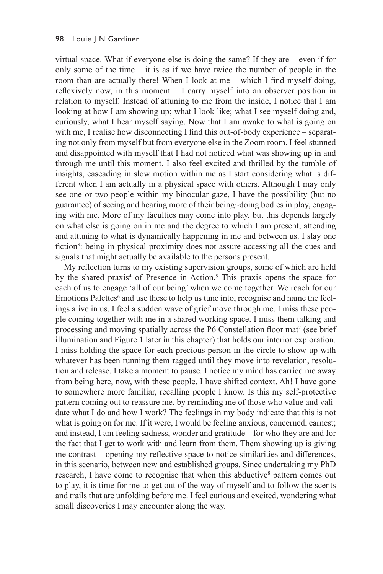virtual space. What if everyone else is doing the same? If they are – even if for only some of the time  $-$  it is as if we have twice the number of people in the room than are actually there! When I look at me – which I find myself doing, reflexively now, in this moment – I carry myself into an observer position in relation to myself. Instead of attuning to me from the inside, I notice that I am looking at how I am showing up; what I look like; what I see myself doing and, curiously, what I hear myself saying. Now that I am awake to what is going on with me, I realise how disconnecting I find this out-of-body experience – separating not only from myself but from everyone else in the Zoom room. I feel stunned and disappointed with myself that I had not noticed what was showing up in and through me until this moment. I also feel excited and thrilled by the tumble of insights, cascading in slow motion within me as I start considering what is different when I am actually in a physical space with others. Although I may only see one or two people within my binocular gaze, I have the possibility (but no guarantee) of seeing and hearing more of their being~doing bodies in play, engaging with me. More of my faculties may come into play, but this depends largely on what else is going on in me and the degree to which I am present, attending and attuning to what is dynamically happening in me and between us. I slay one fiction<sup>3</sup>: being in physical proximity does not assure accessing all the cues and signals that might actually be available to the persons present.

My reflection turns to my existing supervision groups, some of which are held by the shared praxis<sup>4</sup> of Presence in Action.<sup>5</sup> This praxis opens the space for each of us to engage 'all of our being' when we come together. We reach for our Emotions Palettes<sup>6</sup> and use these to help us tune into, recognise and name the feelings alive in us. I feel a sudden wave of grief move through me. I miss these people coming together with me in a shared working space. I miss them talking and processing and moving spatially across the P6 Constellation floor mat<sup>7</sup> (see brief illumination and Figure 1 later in this chapter) that holds our interior exploration. I miss holding the space for each precious person in the circle to show up with whatever has been running them ragged until they move into revelation, resolution and release. I take a moment to pause. I notice my mind has carried me away from being here, now, with these people. I have shifted context. Ah! I have gone to somewhere more familiar, recalling people I know. Is this my self-protective pattern coming out to reassure me, by reminding me of those who value and validate what I do and how I work? The feelings in my body indicate that this is not what is going on for me. If it were, I would be feeling anxious, concerned, earnest; and instead, I am feeling sadness, wonder and gratitude – for who they are and for the fact that I get to work with and learn from them. Them showing up is giving me contrast – opening my reflective space to notice similarities and differences, in this scenario, between new and established groups. Since undertaking my PhD research, I have come to recognise that when this abductive<sup>8</sup> pattern comes out to play, it is time for me to get out of the way of myself and to follow the scents and trails that are unfolding before me. I feel curious and excited, wondering what small discoveries I may encounter along the way.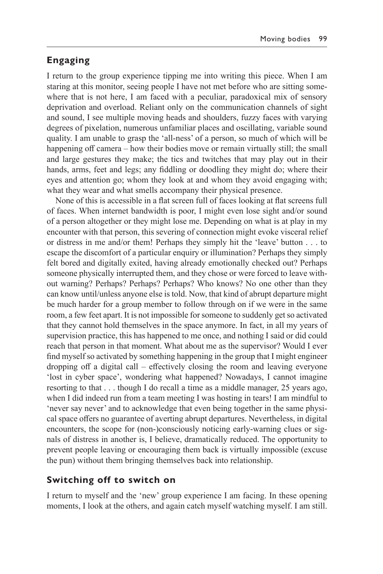## **Engaging**

I return to the group experience tipping me into writing this piece. When I am staring at this monitor, seeing people I have not met before who are sitting somewhere that is not here, I am faced with a peculiar, paradoxical mix of sensory deprivation and overload. Reliant only on the communication channels of sight and sound, I see multiple moving heads and shoulders, fuzzy faces with varying degrees of pixelation, numerous unfamiliar places and oscillating, variable sound quality. I am unable to grasp the 'all-ness' of a person, so much of which will be happening off camera – how their bodies move or remain virtually still; the small and large gestures they make; the tics and twitches that may play out in their hands, arms, feet and legs; any fiddling or doodling they might do; where their eyes and attention go; whom they look at and whom they avoid engaging with; what they wear and what smells accompany their physical presence.

None of this is accessible in a flat screen full of faces looking at flat screens full of faces. When internet bandwidth is poor, I might even lose sight and/or sound of a person altogether or they might lose me. Depending on what is at play in my encounter with that person, this severing of connection might evoke visceral relief or distress in me and/or them! Perhaps they simply hit the 'leave' button . . . to escape the discomfort of a particular enquiry or illumination? Perhaps they simply felt bored and digitally exited, having already emotionally checked out? Perhaps someone physically interrupted them, and they chose or were forced to leave without warning? Perhaps? Perhaps? Perhaps? Who knows? No one other than they can know until/unless anyone else is told. Now, that kind of abrupt departure might be much harder for a group member to follow through on if we were in the same room, a few feet apart. It is not impossible for someone to suddenly get so activated that they cannot hold themselves in the space anymore. In fact, in all my years of supervision practice, this has happened to me once, and nothing I said or did could reach that person in that moment. What about me as the supervisor? Would I ever find myself so activated by something happening in the group that I might engineer dropping off a digital call – effectively closing the room and leaving everyone 'lost in cyber space', wondering what happened? Nowadays, I cannot imagine resorting to that . . . though I do recall a time as a middle manager, 25 years ago, when I did indeed run from a team meeting I was hosting in tears! I am mindful to 'never say never' and to acknowledge that even being together in the same physical space offers no guarantee of averting abrupt departures. Nevertheless, in digital encounters, the scope for (non-)consciously noticing early-warning clues or signals of distress in another is, I believe, dramatically reduced. The opportunity to prevent people leaving or encouraging them back is virtually impossible (excuse the pun) without them bringing themselves back into relationship.

#### **Switching off to switch on**

I return to myself and the 'new' group experience I am facing. In these opening moments, I look at the others, and again catch myself watching myself. I am still.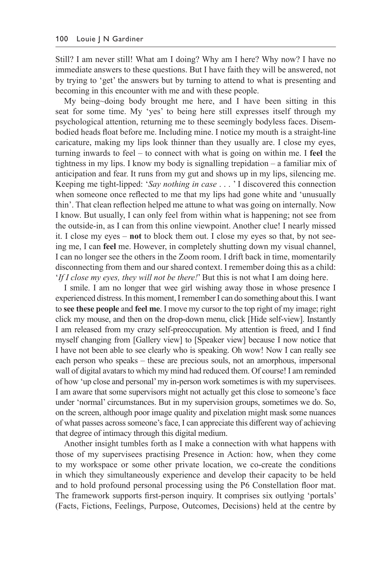Still? I am never still! What am I doing? Why am I here? Why now? I have no immediate answers to these questions. But I have faith they will be answered, not by trying to 'get' the answers but by turning to attend to what is presenting and becoming in this encounter with me and with these people.

My being~doing body brought me here, and I have been sitting in this seat for some time. My 'yes' to being here still expresses itself through my psychological attention, returning me to these seemingly bodyless faces. Disembodied heads float before me. Including mine. I notice my mouth is a straight-line caricature, making my lips look thinner than they usually are. I close my eyes, turning inwards to feel – to connect with what is going on within me. I **feel** the tightness in my lips. I know my body is signalling trepidation – a familiar mix of anticipation and fear. It runs from my gut and shows up in my lips, silencing me. Keeping me tight-lipped: '*Say nothing in case* . . . ' I discovered this connection when someone once reflected to me that my lips had gone white and 'unusually thin'. That clean reflection helped me attune to what was going on internally. Now I know. But usually, I can only feel from within what is happening; not see from the outside-in, as I can from this online viewpoint. Another clue! I nearly missed it. I close my eyes – **not** to block them out. I close my eyes so that, by not seeing me, I can **feel** me. However, in completely shutting down my visual channel, I can no longer see the others in the Zoom room. I drift back in time, momentarily disconnecting from them and our shared context. I remember doing this as a child: '*If I close my eyes, they will not be there!*' But this is not what I am doing here.

I smile. I am no longer that wee girl wishing away those in whose presence I experienced distress. In this moment, Iremember I can do something about this. I want to **see these people** and **feel me**. I move my cursor to the top right of my image; right click my mouse, and then on the drop-down menu, click [Hide self-view]. Instantly I am released from my crazy self-preoccupation. My attention is freed, and I find myself changing from [Gallery view] to [Speaker view] because I now notice that I have not been able to see clearly who is speaking. Oh wow! Now I can really see each person who speaks – these are precious souls, not an amorphous, impersonal wall of digital avatars to which my mind had reduced them. Of course! I am reminded of how 'up close and personal' my in-person work sometimes is with my supervisees. I am aware that some supervisors might not actually get this close to someone's face under 'normal' circumstances. But in my supervision groups, sometimes we do. So, on the screen, although poor image quality and pixelation might mask some nuances of what passes across someone's face, I can appreciate this different way of achieving that degree of intimacy through this digital medium.

Another insight tumbles forth as I make a connection with what happens with those of my supervisees practising Presence in Action: how, when they come to my workspace or some other private location, we co-create the conditions in which they simultaneously experience and develop their capacity to be held and to hold profound personal processing using the P6 Constellation floor mat. The framework supports first-person inquiry. It comprises six outlying 'portals' (Facts, Fictions, Feelings, Purpose, Outcomes, Decisions) held at the centre by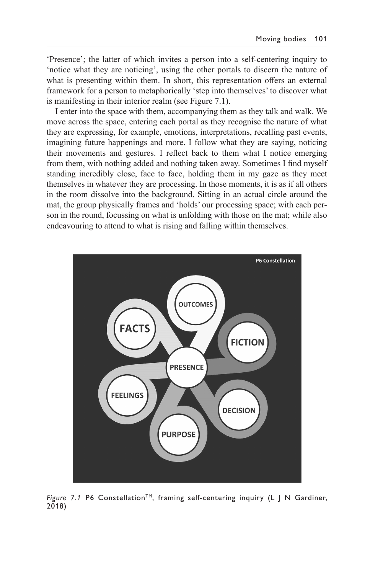'Presence'; the latter of which invites a person into a self-centering inquiry to 'notice what they are noticing', using the other portals to discern the nature of what is presenting within them. In short, this representation offers an external framework for a person to metaphorically 'step into themselves' to discover what is manifesting in their interior realm (see Figure 7.1).

I enter into the space with them, accompanying them as they talk and walk. We move across the space, entering each portal as they recognise the nature of what they are expressing, for example, emotions, interpretations, recalling past events, imagining future happenings and more. I follow what they are saying, noticing their movements and gestures. I reflect back to them what I notice emerging from them, with nothing added and nothing taken away. Sometimes I find myself standing incredibly close, face to face, holding them in my gaze as they meet themselves in whatever they are processing. In those moments, it is as if all others in the room dissolve into the background. Sitting in an actual circle around the mat, the group physically frames and 'holds' our processing space; with each person in the round, focussing on what is unfolding with those on the mat; while also endeavouring to attend to what is rising and falling within themselves.



*Figure 7.1* P6 Constellation<sup>™</sup>, framing self-centering inquiry (L J N Gardiner, 2018)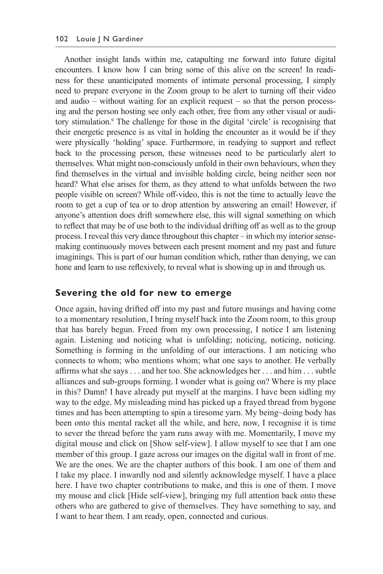Another insight lands within me, catapulting me forward into future digital encounters. I know how I can bring some of this alive on the screen! In readiness for these unanticipated moments of intimate personal processing, I simply need to prepare everyone in the Zoom group to be alert to turning off their video and audio – without waiting for an explicit request – so that the person processing and the person hosting see only each other, free from any other visual or auditory stimulation.<sup>9</sup> The challenge for those in the digital 'circle' is recognising that their energetic presence is as vital in holding the encounter as it would be if they were physically 'holding' space. Furthermore, in readying to support and reflect back to the processing person, these witnesses need to be particularly alert to themselves. What might non-consciously unfold in their own behaviours, when they find themselves in the virtual and invisible holding circle, being neither seen nor heard? What else arises for them, as they attend to what unfolds between the two people visible on screen? While off-video, this is not the time to actually leave the room to get a cup of tea or to drop attention by answering an email! However, if anyone's attention does drift somewhere else, this will signal something on which to reflect that may be of use both to the individual drifting off as well as to the group process. I reveal this very dance throughout this chapter – in which my interior sensemaking continuously moves between each present moment and my past and future imaginings. This is part of our human condition which, rather than denying, we can hone and learn to use reflexively, to reveal what is showing up in and through us.

#### **Severing the old for new to emerge**

Once again, having drifted off into my past and future musings and having come to a momentary resolution, I bring myself back into the Zoom room, to this group that has barely begun. Freed from my own processing, I notice I am listening again. Listening and noticing what is unfolding; noticing, noticing, noticing. Something is forming in the unfolding of our interactions. I am noticing who connects to whom; who mentions whom; what one says to another. He verbally affirms what she says . . . and her too. She acknowledges her . . . and him . . . subtle alliances and sub-groups forming. I wonder what is going on? Where is my place in this? Damn! I have already put myself at the margins. I have been sidling my way to the edge. My misleading mind has picked up a frayed thread from bygone times and has been attempting to spin a tiresome yarn. My being~doing body has been onto this mental racket all the while, and here, now, I recognise it is time to sever the thread before the yarn runs away with me. Momentarily, I move my digital mouse and click on [Show self-view]. I allow myself to see that I am one member of this group. I gaze across our images on the digital wall in front of me. We are the ones. We are the chapter authors of this book. I am one of them and I take my place. I inwardly nod and silently acknowledge myself. I have a place here. I have two chapter contributions to make, and this is one of them. I move my mouse and click [Hide self-view], bringing my full attention back onto these others who are gathered to give of themselves. They have something to say, and I want to hear them. I am ready, open, connected and curious.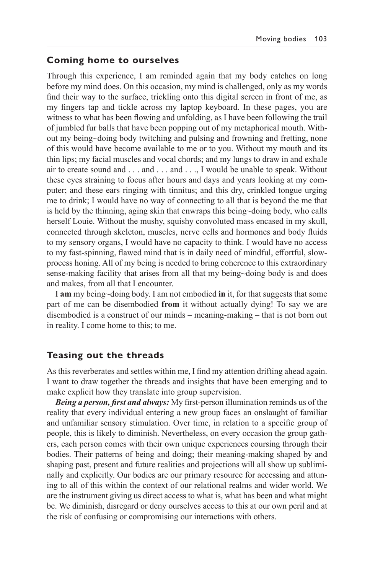#### **Coming home to ourselves**

Through this experience, I am reminded again that my body catches on long before my mind does. On this occasion, my mind is challenged, only as my words find their way to the surface, trickling onto this digital screen in front of me, as my fingers tap and tickle across my laptop keyboard. In these pages, you are witness to what has been flowing and unfolding, as I have been following the trail of jumbled fur balls that have been popping out of my metaphorical mouth. Without my being~doing body twitching and pulsing and frowning and fretting, none of this would have become available to me or to you. Without my mouth and its thin lips; my facial muscles and vocal chords; and my lungs to draw in and exhale air to create sound and . . . and . . . and . . ., I would be unable to speak. Without these eyes straining to focus after hours and days and years looking at my computer; and these ears ringing with tinnitus; and this dry, crinkled tongue urging me to drink; I would have no way of connecting to all that is beyond the me that is held by the thinning, aging skin that enwraps this being~doing body, who calls herself Louie. Without the mushy, squishy convoluted mass encased in my skull, connected through skeleton, muscles, nerve cells and hormones and body fluids to my sensory organs, I would have no capacity to think. I would have no access to my fast-spinning, flawed mind that is in daily need of mindful, effortful, slowprocess honing. All of my being is needed to bring coherence to this extraordinary sense-making facility that arises from all that my being~doing body is and does and makes, from all that I encounter.

I **am** my being~doing body. I am not embodied **in** it, for that suggests that some part of me can be disembodied **from** it without actually dying! To say we are disembodied is a construct of our minds – meaning-making – that is not born out in reality. I come home to this; to me.

#### **Teasing out the threads**

As this reverberates and settles within me, I find my attention drifting ahead again. I want to draw together the threads and insights that have been emerging and to make explicit how they translate into group supervision.

*Being a person, first and always:* My first-person illumination reminds us of the reality that every individual entering a new group faces an onslaught of familiar and unfamiliar sensory stimulation. Over time, in relation to a specific group of people, this is likely to diminish. Nevertheless, on every occasion the group gathers, each person comes with their own unique experiences coursing through their bodies. Their patterns of being and doing; their meaning-making shaped by and shaping past, present and future realities and projections will all show up subliminally and explicitly. Our bodies are our primary resource for accessing and attuning to all of this within the context of our relational realms and wider world. We are the instrument giving us direct access to what is, what has been and what might be. We diminish, disregard or deny ourselves access to this at our own peril and at the risk of confusing or compromising our interactions with others.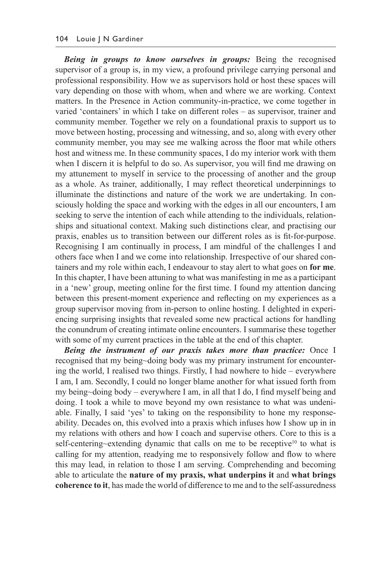*Being in groups to know ourselves in groups:* Being the recognised supervisor of a group is, in my view, a profound privilege carrying personal and professional responsibility. How we as supervisors hold or host these spaces will vary depending on those with whom, when and where we are working. Context matters. In the Presence in Action community-in-practice, we come together in varied 'containers' in which I take on different roles – as supervisor, trainer and community member. Together we rely on a foundational praxis to support us to move between hosting, processing and witnessing, and so, along with every other community member, you may see me walking across the floor mat while others host and witness me. In these community spaces, I do my interior work with them when I discern it is helpful to do so. As supervisor, you will find me drawing on my attunement to myself in service to the processing of another and the group as a whole. As trainer, additionally, I may reflect theoretical underpinnings to illuminate the distinctions and nature of the work we are undertaking. In consciously holding the space and working with the edges in all our encounters, I am seeking to serve the intention of each while attending to the individuals, relationships and situational context. Making such distinctions clear, and practising our praxis, enables us to transition between our different roles as is fit-for-purpose. Recognising I am continually in process, I am mindful of the challenges I and others face when I and we come into relationship. Irrespective of our shared containers and my role within each, I endeavour to stay alert to what goes on **for me**. In this chapter, I have been attuning to what was manifesting in me as a participant in a 'new' group, meeting online for the first time. I found my attention dancing between this present-moment experience and reflecting on my experiences as a group supervisor moving from in-person to online hosting. I delighted in experiencing surprising insights that revealed some new practical actions for handling the conundrum of creating intimate online encounters. I summarise these together with some of my current practices in the table at the end of this chapter.

*Being the instrument of our praxis takes more than practice:* Once I recognised that my being~doing body was my primary instrument for encountering the world, I realised two things. Firstly, I had nowhere to hide – everywhere I am, I am. Secondly, I could no longer blame another for what issued forth from my being~doing body – everywhere I am, in all that I do, I find myself being and doing. I took a while to move beyond my own resistance to what was undeniable. Finally, I said 'yes' to taking on the responsibility to hone my responseability. Decades on, this evolved into a praxis which infuses how I show up in in my relations with others and how I coach and supervise others. Core to this is a self-centering~extending dynamic that calls on me to be receptive<sup>10</sup> to what is calling for my attention, readying me to responsively follow and flow to where this may lead, in relation to those I am serving. Comprehending and becoming able to articulate the **nature of my praxis, what underpins it** and **what brings coherence to it**, has made the world of difference to me and to the self-assuredness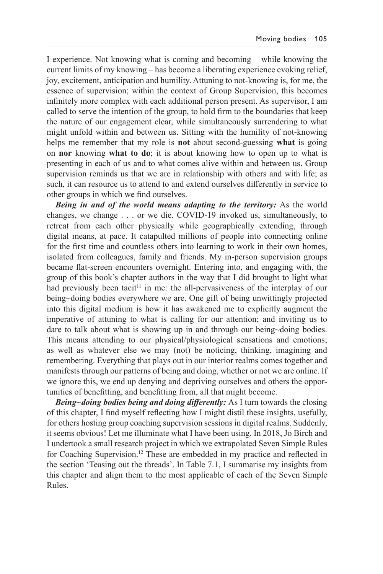I experience. Not knowing what is coming and becoming – while knowing the current limits of my knowing – has become a liberating experience evoking relief, joy, excitement, anticipation and humility. Attuning to not-knowing is, for me, the essence of supervision; within the context of Group Supervision, this becomes infinitely more complex with each additional person present. As supervisor, I am called to serve the intention of the group, to hold firm to the boundaries that keep the nature of our engagement clear, while simultaneously surrendering to what might unfold within and between us. Sitting with the humility of not-knowing helps me remember that my role is **not** about second-guessing **what** is going on **nor** knowing **what to do**; it is about knowing how to open up to what is presenting in each of us and to what comes alive within and between us. Group supervision reminds us that we are in relationship with others and with life; as such, it can resource us to attend to and extend ourselves differently in service to other groups in which we find ourselves.

*Being in and of the world means adapting to the territory:* As the world changes, we change . . . or we die. COVID-19 invoked us, simultaneously, to retreat from each other physically while geographically extending, through digital means, at pace. It catapulted millions of people into connecting online for the first time and countless others into learning to work in their own homes, isolated from colleagues, family and friends. My in-person supervision groups became flat-screen encounters overnight. Entering into, and engaging with, the group of this book's chapter authors in the way that I did brought to light what had previously been tacit<sup>11</sup> in me: the all-pervasiveness of the interplay of our being~doing bodies everywhere we are. One gift of being unwittingly projected into this digital medium is how it has awakened me to explicitly augment the imperative of attuning to what is calling for our attention; and inviting us to dare to talk about what is showing up in and through our being~doing bodies. This means attending to our physical/physiological sensations and emotions; as well as whatever else we may (not) be noticing, thinking, imagining and remembering. Everything that plays out in our interior realms comes together and manifests through our patterns of being and doing, whether or not we are online. If we ignore this, we end up denying and depriving ourselves and others the opportunities of benefitting, and benefitting from, all that might become.

*Being~doing bodies being and doing differently:* As I turn towards the closing of this chapter, I find myself reflecting how I might distil these insights, usefully, for others hosting group coaching supervision sessions in digital realms. Suddenly, it seems obvious! Let me illuminate what I have been using. In 2018, Jo Birch and I undertook a small research project in which we extrapolated Seven Simple Rules for Coaching Supervision.<sup>12</sup> These are embedded in my practice and reflected in the section 'Teasing out the threads'. In Table 7.1, I summarise my insights from this chapter and align them to the most applicable of each of the Seven Simple Rules.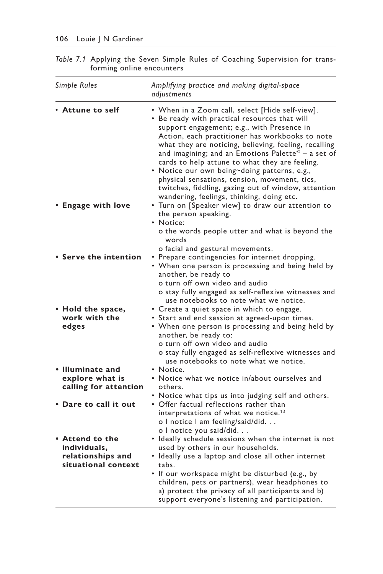| Simple Rules                                                                | Amplifying practice and making digital-space<br>adjustments                                                                                                                                                                                                                                                                                                                                                                                                                                                                                                                                            |
|-----------------------------------------------------------------------------|--------------------------------------------------------------------------------------------------------------------------------------------------------------------------------------------------------------------------------------------------------------------------------------------------------------------------------------------------------------------------------------------------------------------------------------------------------------------------------------------------------------------------------------------------------------------------------------------------------|
| • Attune to self                                                            | • When in a Zoom call, select [Hide self-view].<br>. Be ready with practical resources that will<br>support engagement; e.g., with Presence in<br>Action, each practitioner has workbooks to note<br>what they are noticing, believing, feeling, recalling<br>and imagining; and an Emotions Palette <sup><math>\bar{e}</math></sup> – a set of<br>cards to help attune to what they are feeling.<br>· Notice our own being~doing patterns, e.g.,<br>physical sensations, tension, movement, tics,<br>twitches, fiddling, gazing out of window, attention<br>wandering, feelings, thinking, doing etc. |
| • Engage with love                                                          | • Turn on [Speaker view] to draw our attention to<br>the person speaking.<br>• Notice:<br>o the words people utter and what is beyond the<br>words<br>o facial and gestural movements.                                                                                                                                                                                                                                                                                                                                                                                                                 |
| • Serve the intention                                                       | • Prepare contingencies for internet dropping.<br>• When one person is processing and being held by<br>another, be ready to<br>o turn off own video and audio<br>o stay fully engaged as self-reflexive witnesses and<br>use notebooks to note what we notice.                                                                                                                                                                                                                                                                                                                                         |
| • Hold the space,<br>work with the<br>edges                                 | • Create a quiet space in which to engage.<br>· Start and end session at agreed-upon times.<br>• When one person is processing and being held by<br>another, be ready to:<br>o turn off own video and audio<br>o stay fully engaged as self-reflexive witnesses and<br>use notebooks to note what we notice.                                                                                                                                                                                                                                                                                           |
| • Illuminate and<br>explore what is<br>calling for attention                | • Notice.<br>• Notice what we notice in/about ourselves and                                                                                                                                                                                                                                                                                                                                                                                                                                                                                                                                            |
|                                                                             | others.<br>• Notice what tips us into judging self and others.                                                                                                                                                                                                                                                                                                                                                                                                                                                                                                                                         |
| • Dare to call it out                                                       | • Offer factual reflections rather than<br>interpretations of what we notice. <sup>13</sup><br>o I notice I am feeling/said/did.<br>o I notice you said/did.                                                                                                                                                                                                                                                                                                                                                                                                                                           |
| • Attend to the<br>individuals,<br>relationships and<br>situational context | · Ideally schedule sessions when the internet is not<br>used by others in our households.<br>· Ideally use a laptop and close all other internet<br>tabs.<br>. If our workspace might be disturbed (e.g., by<br>children, pets or partners), wear headphones to<br>a) protect the privacy of all participants and b)<br>support everyone's listening and participation.                                                                                                                                                                                                                                |

*Table 7.1* Applying the Seven Simple Rules of Coaching Supervision for transforming online encounters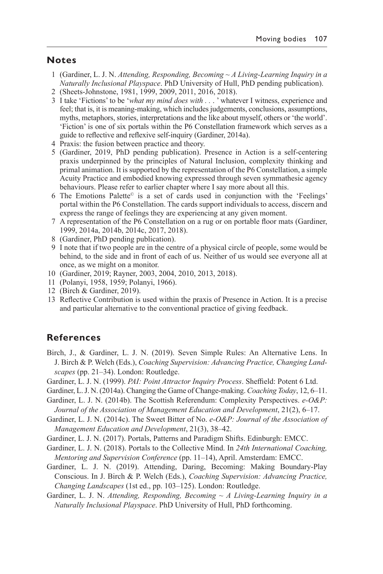#### **Notes**

- 1 (Gardiner, L. J. N. *Attending, Responding, Becoming ~ A Living-Learning Inquiry in a Naturally Inclusional Playspace*. PhD University of Hull, PhD pending publication).
- 2 (Sheets-Johnstone, 1981, 1999, 2009, 2011, 2016, 2018).
- 3 I take 'Fictions' to be '*what my mind does with . .* . ' whatever I witness, experience and feel; that is, it is meaning-making, which includes judgements, conclusions, assumptions, myths, metaphors, stories, interpretations and the like about myself, others or 'the world'. 'Fiction' is one of six portals within the P6 Constellation framework which serves as a guide to reflective and reflexive self-inquiry (Gardiner, 2014a).
- 4 Praxis: the fusion between practice and theory.
- 5 (Gardiner, 2019, PhD pending publication). Presence in Action is a self-centering praxis underpinned by the principles of Natural Inclusion, complexity thinking and primal animation. It is supported by the representation of the P6 Constellation, a simple Acuity Practice and embodied knowing expressed through seven symmathesic agency behaviours. Please refer to earlier chapter where I say more about all this.
- 6 The Emotions Palette© is a set of cards used in conjunction with the 'Feelings' portal within the P6 Constellation. The cards support individuals to access, discern and express the range of feelings they are experiencing at any given moment.
- 7 A representation of the P6 Constellation on a rug or on portable floor mats (Gardiner, 1999, 2014a, 2014b, 2014c, 2017, 2018).
- 8 (Gardiner, PhD pending publication).
- 9 I note that if two people are in the centre of a physical circle of people, some would be behind, to the side and in front of each of us. Neither of us would see everyone all at once, as we might on a monitor.
- 10 (Gardiner, 2019; Rayner, 2003, 2004, 2010, 2013, 2018).
- 11 (Polanyi, 1958, 1959; Polanyi, 1966).
- 12 (Birch & Gardiner, 2019).
- 13 Reflective Contribution is used within the praxis of Presence in Action. It is a precise and particular alternative to the conventional practice of giving feedback.

## **References**

- Birch, J., & Gardiner, L. J. N. (2019). Seven Simple Rules: An Alternative Lens. In J. Birch & P. Welch (Eds.), *Coaching Supervision: Advancing Practice, Changing Landscapes* (pp. 21–34). London: Routledge.
- Gardiner, L. J. N. (1999). *PAI: Point Attractor Inquiry Process*. Sheffield: Potent 6 Ltd.
- Gardiner, L. J. N. (2014a). Changing the Game of Change-making. *Coaching Today*, 12, 6–11.
- Gardiner, L. J. N. (2014b). The Scottish Referendum: Complexity Perspectives. *e-O&P: Journal of the Association of Management Education and Development*, 21(2), 6–17.
- Gardiner, L. J. N. (2014c). The Sweet Bitter of No. *e-O&P: Journal of the Association of Management Education and Development*, 21(3), 38–42.
- Gardiner, L. J. N. (2017). Portals, Patterns and Paradigm Shifts. Edinburgh: EMCC.
- Gardiner, L. J. N. (2018). Portals to the Collective Mind. In *24th International Coaching, Mentoring and Supervision Conference* (pp. 11–14), April. Amsterdam: EMCC.
- Gardiner, L. J. N. (2019). Attending, Daring, Becoming: Making Boundary-Play Conscious. In J. Birch & P. Welch (Eds.), *Coaching Supervision: Advancing Practice, Changing Landscapes* (1st ed., pp. 103–125). London: Routledge.
- Gardiner, L. J. N. *Attending, Responding, Becoming ~ A Living-Learning Inquiry in a Naturally Inclusional Playspace*. PhD University of Hull, PhD forthcoming.